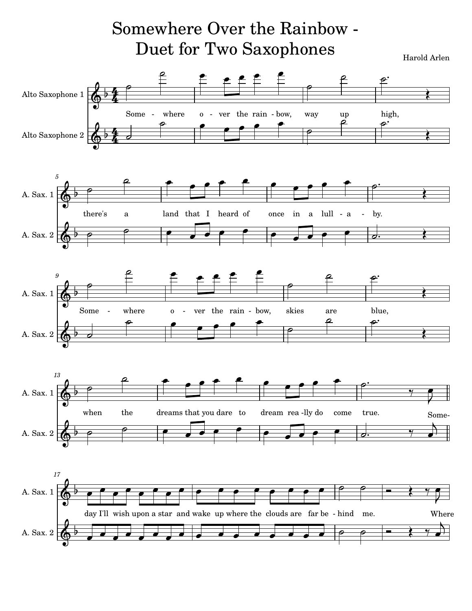